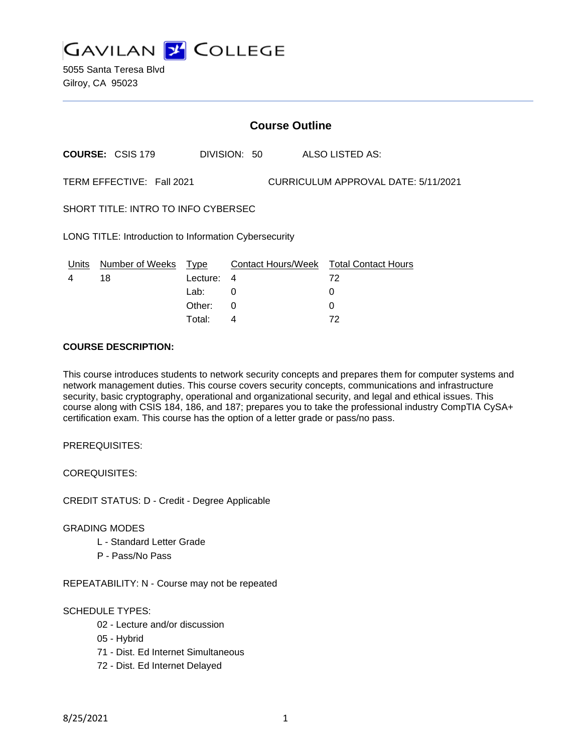

5055 Santa Teresa Blvd Gilroy, CA 95023

# **Course Outline**

**COURSE:** CSIS 179 DIVISION: 50 ALSO LISTED AS:

TERM EFFECTIVE: Fall 2021 CURRICULUM APPROVAL DATE: 5/11/2021

SHORT TITLE: INTRO TO INFO CYBERSEC

LONG TITLE: Introduction to Information Cybersecurity

| Units | Number of Weeks Type |            | Contact Hours/Week Total Contact Hours |    |
|-------|----------------------|------------|----------------------------------------|----|
|       | 18                   | Lecture: 4 |                                        | 72 |
|       |                      | Lab: _     |                                        |    |
|       |                      | Other: 0   |                                        |    |
|       |                      | Total:     |                                        | 72 |

### **COURSE DESCRIPTION:**

This course introduces students to network security concepts and prepares them for computer systems and network management duties. This course covers security concepts, communications and infrastructure security, basic cryptography, operational and organizational security, and legal and ethical issues. This course along with CSIS 184, 186, and 187; prepares you to take the professional industry CompTIA CySA+ certification exam. This course has the option of a letter grade or pass/no pass.

PREREQUISITES:

COREQUISITES:

CREDIT STATUS: D - Credit - Degree Applicable

#### GRADING MODES

- L Standard Letter Grade
- P Pass/No Pass

REPEATABILITY: N - Course may not be repeated

### SCHEDULE TYPES:

- 02 Lecture and/or discussion
- 05 Hybrid
- 71 Dist. Ed Internet Simultaneous
- 72 Dist. Ed Internet Delayed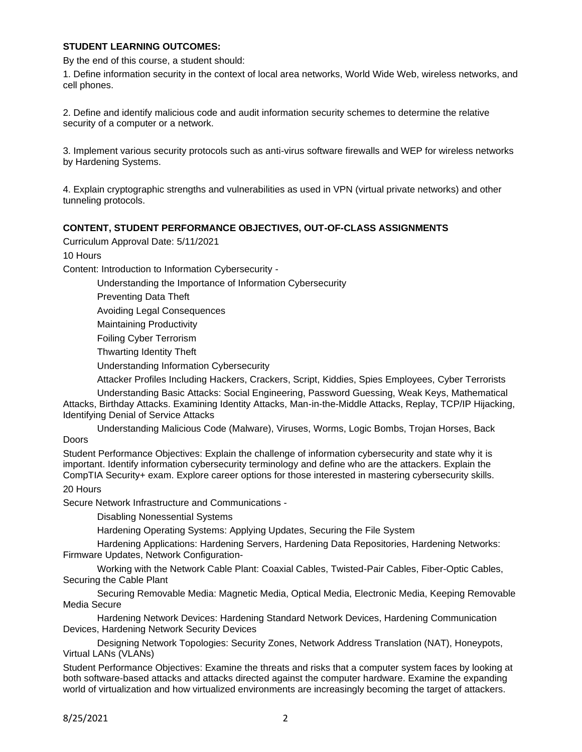## **STUDENT LEARNING OUTCOMES:**

By the end of this course, a student should:

1. Define information security in the context of local area networks, World Wide Web, wireless networks, and cell phones.

2. Define and identify malicious code and audit information security schemes to determine the relative security of a computer or a network.

3. Implement various security protocols such as anti-virus software firewalls and WEP for wireless networks by Hardening Systems.

4. Explain cryptographic strengths and vulnerabilities as used in VPN (virtual private networks) and other tunneling protocols.

### **CONTENT, STUDENT PERFORMANCE OBJECTIVES, OUT-OF-CLASS ASSIGNMENTS**

Curriculum Approval Date: 5/11/2021

10 Hours

Content: Introduction to Information Cybersecurity -

Understanding the Importance of Information Cybersecurity

Preventing Data Theft

Avoiding Legal Consequences

Maintaining Productivity

Foiling Cyber Terrorism

Thwarting Identity Theft

Understanding Information Cybersecurity

Attacker Profiles Including Hackers, Crackers, Script, Kiddies, Spies Employees, Cyber Terrorists

Understanding Basic Attacks: Social Engineering, Password Guessing, Weak Keys, Mathematical Attacks, Birthday Attacks. Examining Identity Attacks, Man-in-the-Middle Attacks, Replay, TCP/IP Hijacking, Identifying Denial of Service Attacks

Understanding Malicious Code (Malware), Viruses, Worms, Logic Bombs, Trojan Horses, Back Doors

Student Performance Objectives: Explain the challenge of information cybersecurity and state why it is important. Identify information cybersecurity terminology and define who are the attackers. Explain the CompTIA Security+ exam. Explore career options for those interested in mastering cybersecurity skills. 20 Hours

Secure Network Infrastructure and Communications -

Disabling Nonessential Systems

Hardening Operating Systems: Applying Updates, Securing the File System

Hardening Applications: Hardening Servers, Hardening Data Repositories, Hardening Networks: Firmware Updates, Network Configuration-

Working with the Network Cable Plant: Coaxial Cables, Twisted-Pair Cables, Fiber-Optic Cables, Securing the Cable Plant

Securing Removable Media: Magnetic Media, Optical Media, Electronic Media, Keeping Removable Media Secure

Hardening Network Devices: Hardening Standard Network Devices, Hardening Communication Devices, Hardening Network Security Devices

Designing Network Topologies: Security Zones, Network Address Translation (NAT), Honeypots, Virtual LANs (VLANs)

Student Performance Objectives: Examine the threats and risks that a computer system faces by looking at both software-based attacks and attacks directed against the computer hardware. Examine the expanding world of virtualization and how virtualized environments are increasingly becoming the target of attackers.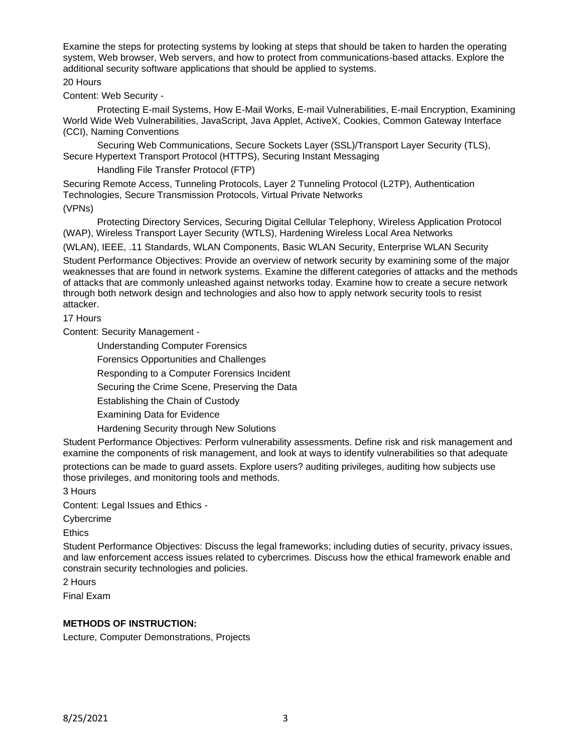Examine the steps for protecting systems by looking at steps that should be taken to harden the operating system, Web browser, Web servers, and how to protect from communications-based attacks. Explore the additional security software applications that should be applied to systems.

### 20 Hours

Content: Web Security -

Protecting E-mail Systems, How E-Mail Works, E-mail Vulnerabilities, E-mail Encryption, Examining World Wide Web Vulnerabilities, JavaScript, Java Applet, ActiveX, Cookies, Common Gateway Interface (CCI), Naming Conventions

Securing Web Communications, Secure Sockets Layer (SSL)/Transport Layer Security (TLS), Secure Hypertext Transport Protocol (HTTPS), Securing Instant Messaging

Handling File Transfer Protocol (FTP)

Securing Remote Access, Tunneling Protocols, Layer 2 Tunneling Protocol (L2TP), Authentication Technologies, Secure Transmission Protocols, Virtual Private Networks

(VPNs)

Protecting Directory Services, Securing Digital Cellular Telephony, Wireless Application Protocol (WAP), Wireless Transport Layer Security (WTLS), Hardening Wireless Local Area Networks

(WLAN), IEEE, .11 Standards, WLAN Components, Basic WLAN Security, Enterprise WLAN Security

Student Performance Objectives: Provide an overview of network security by examining some of the major weaknesses that are found in network systems. Examine the different categories of attacks and the methods of attacks that are commonly unleashed against networks today. Examine how to create a secure network through both network design and technologies and also how to apply network security tools to resist attacker.

17 Hours

Content: Security Management -

Understanding Computer Forensics

Forensics Opportunities and Challenges

Responding to a Computer Forensics Incident

Securing the Crime Scene, Preserving the Data

Establishing the Chain of Custody

Examining Data for Evidence

Hardening Security through New Solutions

Student Performance Objectives: Perform vulnerability assessments. Define risk and risk management and examine the components of risk management, and look at ways to identify vulnerabilities so that adequate protections can be made to guard assets. Explore users? auditing privileges, auditing how subjects use those privileges, and monitoring tools and methods.

3 Hours

Content: Legal Issues and Ethics -

Cybercrime

Ethics

Student Performance Objectives: Discuss the legal frameworks; including duties of security, privacy issues, and law enforcement access issues related to cybercrimes. Discuss how the ethical framework enable and constrain security technologies and policies.

2 Hours

Final Exam

### **METHODS OF INSTRUCTION:**

Lecture, Computer Demonstrations, Projects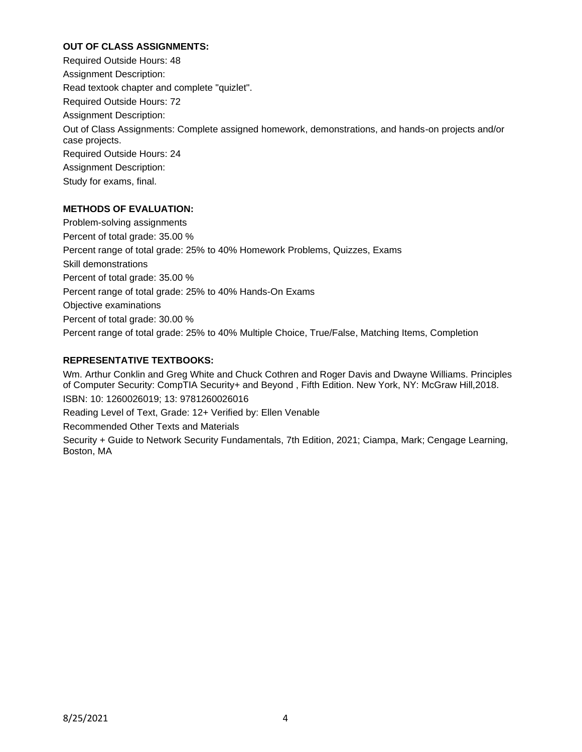## **OUT OF CLASS ASSIGNMENTS:**

Required Outside Hours: 48 Assignment Description: Read textook chapter and complete "quizlet". Required Outside Hours: 72 Assignment Description: Out of Class Assignments: Complete assigned homework, demonstrations, and hands-on projects and/or case projects. Required Outside Hours: 24 Assignment Description: Study for exams, final.

# **METHODS OF EVALUATION:**

Problem-solving assignments Percent of total grade: 35.00 % Percent range of total grade: 25% to 40% Homework Problems, Quizzes, Exams Skill demonstrations Percent of total grade: 35.00 % Percent range of total grade: 25% to 40% Hands-On Exams Objective examinations Percent of total grade: 30.00 % Percent range of total grade: 25% to 40% Multiple Choice, True/False, Matching Items, Completion

# **REPRESENTATIVE TEXTBOOKS:**

Wm. Arthur Conklin and Greg White and Chuck Cothren and Roger Davis and Dwayne Williams. Principles of Computer Security: CompTIA Security+ and Beyond , Fifth Edition. New York, NY: McGraw Hill,2018. ISBN: 10: 1260026019; 13: 9781260026016 Reading Level of Text, Grade: 12+ Verified by: Ellen Venable Recommended Other Texts and Materials Security + Guide to Network Security Fundamentals, 7th Edition, 2021; Ciampa, Mark; Cengage Learning, Boston, MA